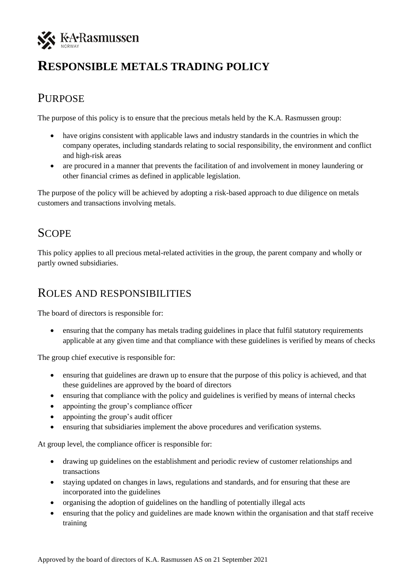

# **RESPONSIBLE METALS TRADING POLICY**

### PURPOSE

The purpose of this policy is to ensure that the precious metals held by the K.A. Rasmussen group:

- have origins consistent with applicable laws and industry standards in the countries in which the company operates, including standards relating to social responsibility, the environment and conflict and high-risk areas
- are procured in a manner that prevents the facilitation of and involvement in money laundering or other financial crimes as defined in applicable legislation.

The purpose of the policy will be achieved by adopting a risk-based approach to due diligence on metals customers and transactions involving metals.

## **SCOPE**

This policy applies to all precious metal-related activities in the group, the parent company and wholly or partly owned subsidiaries.

#### ROLES AND RESPONSIBILITIES

The board of directors is responsible for:

• ensuring that the company has metals trading guidelines in place that fulfil statutory requirements applicable at any given time and that compliance with these guidelines is verified by means of checks

The group chief executive is responsible for:

- ensuring that guidelines are drawn up to ensure that the purpose of this policy is achieved, and that these guidelines are approved by the board of directors
- ensuring that compliance with the policy and guidelines is verified by means of internal checks
- appointing the group's compliance officer
- appointing the group's audit officer
- ensuring that subsidiaries implement the above procedures and verification systems.

At group level, the compliance officer is responsible for:

- drawing up guidelines on the establishment and periodic review of customer relationships and transactions
- staying updated on changes in laws, regulations and standards, and for ensuring that these are incorporated into the guidelines
- organising the adoption of guidelines on the handling of potentially illegal acts
- ensuring that the policy and guidelines are made known within the organisation and that staff receive training